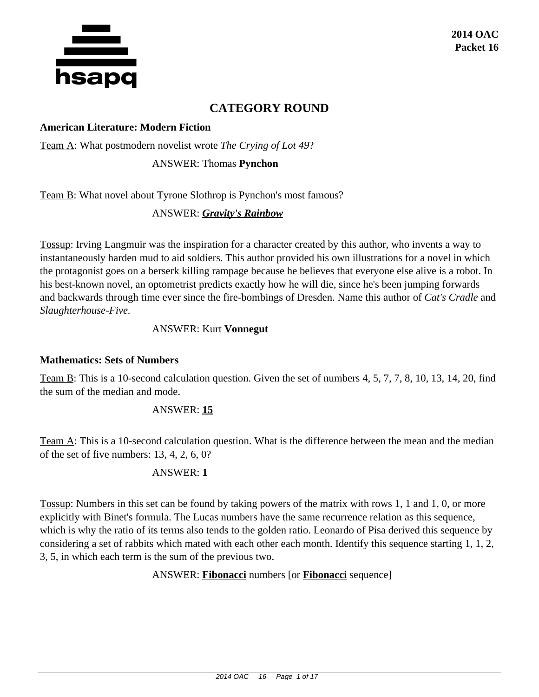

# **CATEGORY ROUND**

#### **American Literature: Modern Fiction**

Team A: What postmodern novelist wrote *The Crying of Lot 49*?

ANSWER: Thomas **Pynchon**

Team B: What novel about Tyrone Slothrop is Pynchon's most famous?

#### ANSWER: *Gravity's Rainbow*

Tossup: Irving Langmuir was the inspiration for a character created by this author, who invents a way to instantaneously harden mud to aid soldiers. This author provided his own illustrations for a novel in which the protagonist goes on a berserk killing rampage because he believes that everyone else alive is a robot. In his best-known novel, an optometrist predicts exactly how he will die, since he's been jumping forwards and backwards through time ever since the fire-bombings of Dresden. Name this author of *Cat's Cradle* and *Slaughterhouse-Five.*

#### ANSWER: Kurt **Vonnegut**

#### **Mathematics: Sets of Numbers**

Team B: This is a 10-second calculation question. Given the set of numbers 4, 5, 7, 7, 8, 10, 13, 14, 20, find the sum of the median and mode.

#### ANSWER: **15**

Team A: This is a 10-second calculation question. What is the difference between the mean and the median of the set of five numbers: 13, 4, 2, 6, 0?

#### ANSWER: **1**

Tossup: Numbers in this set can be found by taking powers of the matrix with rows 1, 1 and 1, 0, or more explicitly with Binet's formula. The Lucas numbers have the same recurrence relation as this sequence, which is why the ratio of its terms also tends to the golden ratio. Leonardo of Pisa derived this sequence by considering a set of rabbits which mated with each other each month. Identify this sequence starting 1, 1, 2, 3, 5, in which each term is the sum of the previous two.

ANSWER: **Fibonacci** numbers [or **Fibonacci** sequence]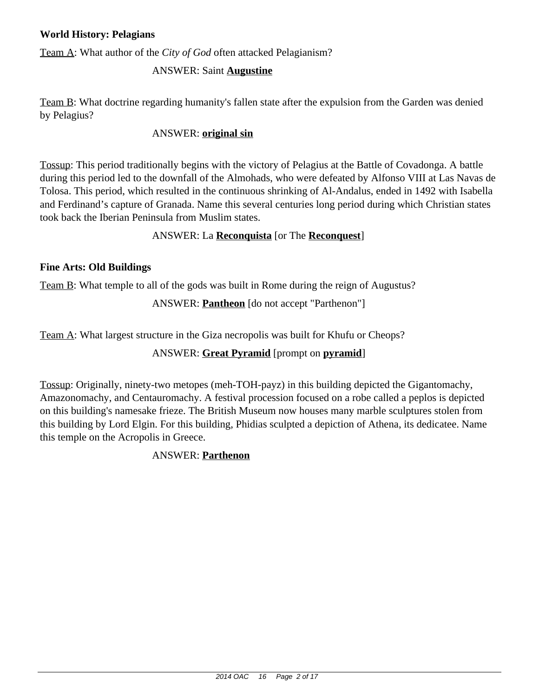## **World History: Pelagians**

Team A: What author of the *City of God* often attacked Pelagianism?

## ANSWER: Saint **Augustine**

Team B: What doctrine regarding humanity's fallen state after the expulsion from the Garden was denied by Pelagius?

### ANSWER: **original sin**

Tossup: This period traditionally begins with the victory of Pelagius at the Battle of Covadonga. A battle during this period led to the downfall of the Almohads, who were defeated by Alfonso VIII at Las Navas de Tolosa. This period, which resulted in the continuous shrinking of Al-Andalus, ended in 1492 with Isabella and Ferdinand's capture of Granada. Name this several centuries long period during which Christian states took back the Iberian Peninsula from Muslim states.

## ANSWER: La **Reconquista** [or The **Reconquest**]

#### **Fine Arts: Old Buildings**

Team B: What temple to all of the gods was built in Rome during the reign of Augustus?

ANSWER: **Pantheon** [do not accept "Parthenon"]

Team A: What largest structure in the Giza necropolis was built for Khufu or Cheops?

# ANSWER: **Great Pyramid** [prompt on **pyramid**]

Tossup: Originally, ninety-two metopes (meh-TOH-payz) in this building depicted the Gigantomachy, Amazonomachy, and Centauromachy. A festival procession focused on a robe called a peplos is depicted on this building's namesake frieze. The British Museum now houses many marble sculptures stolen from this building by Lord Elgin. For this building, Phidias sculpted a depiction of Athena, its dedicatee. Name this temple on the Acropolis in Greece.

# ANSWER: **Parthenon**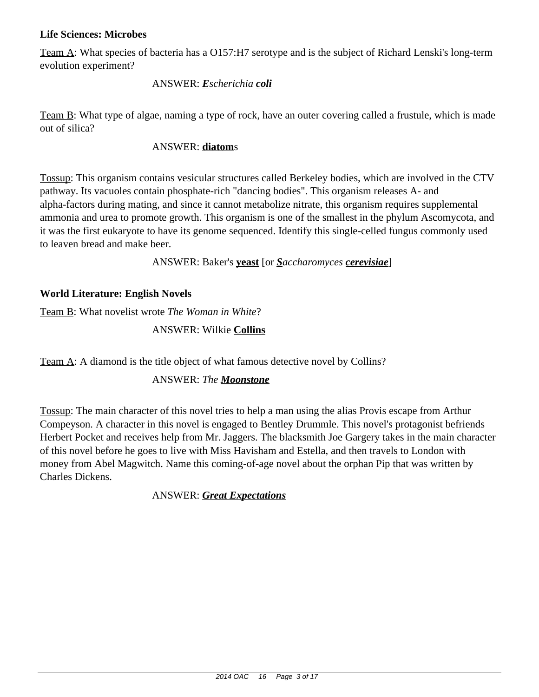#### **Life Sciences: Microbes**

Team A: What species of bacteria has a O157:H7 serotype and is the subject of Richard Lenski's long-term evolution experiment?

#### ANSWER: *Escherichia coli*

Team B: What type of algae, naming a type of rock, have an outer covering called a frustule, which is made out of silica?

#### ANSWER: **diatom**s

Tossup: This organism contains vesicular structures called Berkeley bodies, which are involved in the CTV pathway. Its vacuoles contain phosphate-rich "dancing bodies". This organism releases A- and alpha-factors during mating, and since it cannot metabolize nitrate, this organism requires supplemental ammonia and urea to promote growth. This organism is one of the smallest in the phylum Ascomycota, and it was the first eukaryote to have its genome sequenced. Identify this single-celled fungus commonly used to leaven bread and make beer.

ANSWER: Baker's **yeast** [or *Saccharomyces cerevisiae*]

## **World Literature: English Novels**

Team B: What novelist wrote *The Woman in White*?

#### ANSWER: Wilkie **Collins**

Team A: A diamond is the title object of what famous detective novel by Collins?

# ANSWER: *The Moonstone*

Tossup: The main character of this novel tries to help a man using the alias Provis escape from Arthur Compeyson. A character in this novel is engaged to Bentley Drummle. This novel's protagonist befriends Herbert Pocket and receives help from Mr. Jaggers. The blacksmith Joe Gargery takes in the main character of this novel before he goes to live with Miss Havisham and Estella, and then travels to London with money from Abel Magwitch. Name this coming-of-age novel about the orphan Pip that was written by Charles Dickens.

#### ANSWER: *Great Expectations*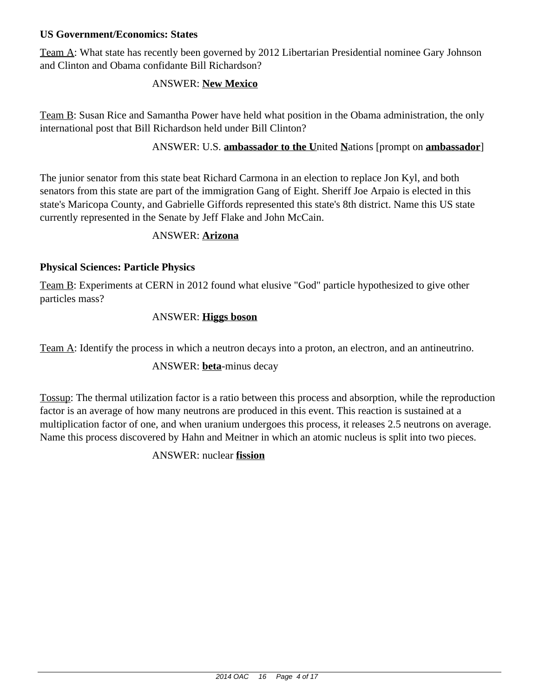### **US Government/Economics: States**

Team A: What state has recently been governed by 2012 Libertarian Presidential nominee Gary Johnson and Clinton and Obama confidante Bill Richardson?

### ANSWER: **New Mexico**

Team B: Susan Rice and Samantha Power have held what position in the Obama administration, the only international post that Bill Richardson held under Bill Clinton?

ANSWER: U.S. **ambassador to the U**nited **N**ations [prompt on **ambassador**]

The junior senator from this state beat Richard Carmona in an election to replace Jon Kyl, and both senators from this state are part of the immigration Gang of Eight. Sheriff Joe Arpaio is elected in this state's Maricopa County, and Gabrielle Giffords represented this state's 8th district. Name this US state currently represented in the Senate by Jeff Flake and John McCain.

#### ANSWER: **Arizona**

## **Physical Sciences: Particle Physics**

Team B: Experiments at CERN in 2012 found what elusive "God" particle hypothesized to give other particles mass?

#### ANSWER: **Higgs boson**

Team A: Identify the process in which a neutron decays into a proton, an electron, and an antineutrino.

# ANSWER: **beta**-minus decay

Tossup: The thermal utilization factor is a ratio between this process and absorption, while the reproduction factor is an average of how many neutrons are produced in this event. This reaction is sustained at a multiplication factor of one, and when uranium undergoes this process, it releases 2.5 neutrons on average. Name this process discovered by Hahn and Meitner in which an atomic nucleus is split into two pieces.

ANSWER: nuclear **fission**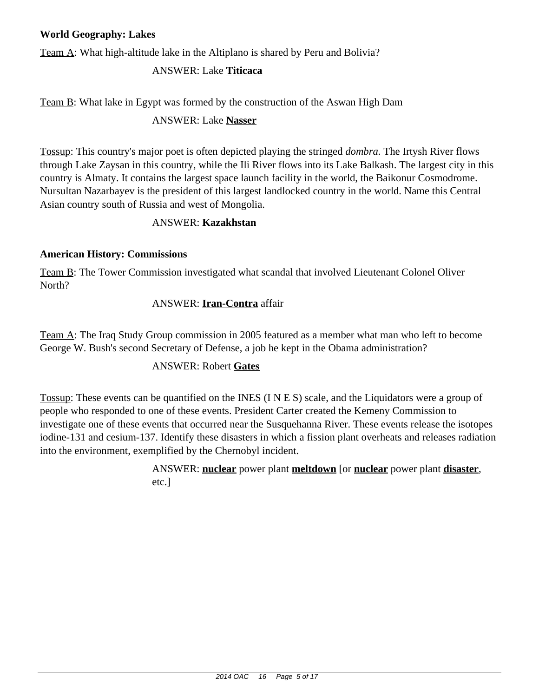# **World Geography: Lakes**

Team A: What high-altitude lake in the Altiplano is shared by Peru and Bolivia?

### ANSWER: Lake **Titicaca**

Team B: What lake in Egypt was formed by the construction of the Aswan High Dam

### ANSWER: Lake **Nasser**

Tossup: This country's major poet is often depicted playing the stringed *dombra.* The Irtysh River flows through Lake Zaysan in this country, while the Ili River flows into its Lake Balkash. The largest city in this country is Almaty. It contains the largest space launch facility in the world, the Baikonur Cosmodrome. Nursultan Nazarbayev is the president of this largest landlocked country in the world. Name this Central Asian country south of Russia and west of Mongolia.

#### ANSWER: **Kazakhstan**

## **American History: Commissions**

Team B: The Tower Commission investigated what scandal that involved Lieutenant Colonel Oliver North?

## ANSWER: **Iran-Contra** affair

Team A: The Iraq Study Group commission in 2005 featured as a member what man who left to become George W. Bush's second Secretary of Defense, a job he kept in the Obama administration?

#### ANSWER: Robert **Gates**

Tossup: These events can be quantified on the INES (I N E S) scale, and the Liquidators were a group of people who responded to one of these events. President Carter created the Kemeny Commission to investigate one of these events that occurred near the Susquehanna River. These events release the isotopes iodine-131 and cesium-137. Identify these disasters in which a fission plant overheats and releases radiation into the environment, exemplified by the Chernobyl incident.

> ANSWER: **nuclear** power plant **meltdown** [or **nuclear** power plant **disaster**, etc.]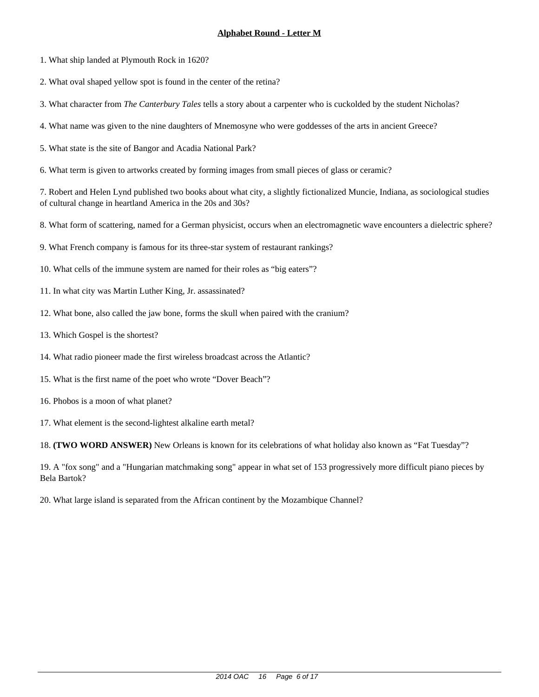- 1. What ship landed at Plymouth Rock in 1620?
- 2. What oval shaped yellow spot is found in the center of the retina?
- 3. What character from *The Canterbury Tales* tells a story about a carpenter who is cuckolded by the student Nicholas?
- 4. What name was given to the nine daughters of Mnemosyne who were goddesses of the arts in ancient Greece?
- 5. What state is the site of Bangor and Acadia National Park?
- 6. What term is given to artworks created by forming images from small pieces of glass or ceramic?

- 8. What form of scattering, named for a German physicist, occurs when an electromagnetic wave encounters a dielectric sphere?
- 9. What French company is famous for its three-star system of restaurant rankings?
- 10. What cells of the immune system are named for their roles as "big eaters"?
- 11. In what city was Martin Luther King, Jr. assassinated?
- 12. What bone, also called the jaw bone, forms the skull when paired with the cranium?
- 13. Which Gospel is the shortest?
- 14. What radio pioneer made the first wireless broadcast across the Atlantic?
- 15. What is the first name of the poet who wrote "Dover Beach"?
- 16. Phobos is a moon of what planet?
- 17. What element is the second-lightest alkaline earth metal?

18. **(TWO WORD ANSWER)** New Orleans is known for its celebrations of what holiday also known as "Fat Tuesday"?

19. A "fox song" and a "Hungarian matchmaking song" appear in what set of 153 progressively more difficult piano pieces by Bela Bartok?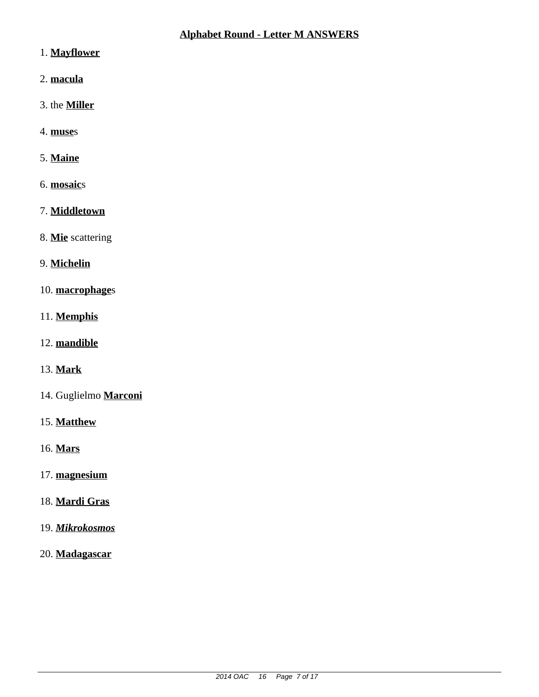- 1. **Mayflower**
- 2. **macula**
- 3. the **Miller**
- 4. **muse**s

# 5. **Maine**

- 6. **mosaic**s
- 7. **Middletown**
- 8. **Mie** scattering
- 9. **Michelin**
- 10. **macrophage**s
- 11. **Memphis**
- 12. **mandible**
- 13. **Mark**
- 14. Guglielmo **Marconi**
- 15. **Matthew**
- 16. **Mars**
- 17. **magnesium**
- 18. **Mardi Gras**
- 19. *Mikrokosmos*
- 20. **Madagascar**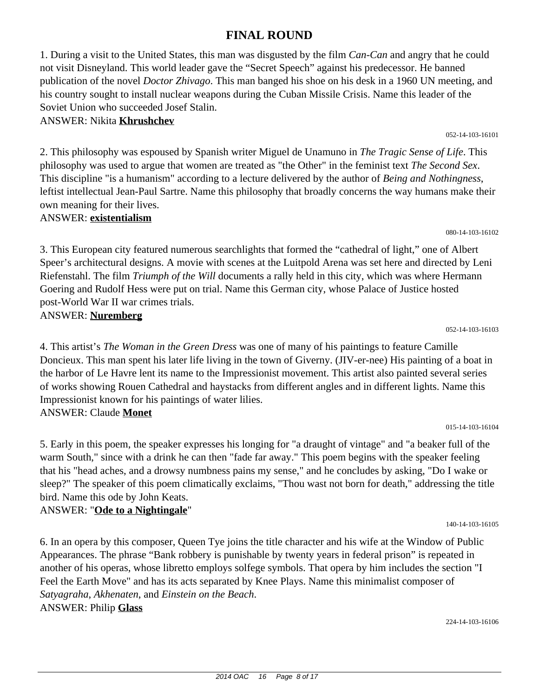# **FINAL ROUND**

1. During a visit to the United States, this man was disgusted by the film *Can-Can* and angry that he could not visit Disneyland. This world leader gave the "Secret Speech" against his predecessor. He banned publication of the novel *Doctor Zhivago*. This man banged his shoe on his desk in a 1960 UN meeting, and his country sought to install nuclear weapons during the Cuban Missile Crisis. Name this leader of the Soviet Union who succeeded Josef Stalin.

# ANSWER: Nikita **Khrushchev**

2. This philosophy was espoused by Spanish writer Miguel de Unamuno in *The Tragic Sense of Life*. This philosophy was used to argue that women are treated as "the Other" in the feminist text *The Second Sex*. This discipline "is a humanism" according to a lecture delivered by the author of *Being and Nothingness*, leftist intellectual Jean-Paul Sartre. Name this philosophy that broadly concerns the way humans make their own meaning for their lives.

ANSWER: **existentialism**

3. This European city featured numerous searchlights that formed the "cathedral of light," one of Albert Speer's architectural designs. A movie with scenes at the Luitpold Arena was set here and directed by Leni Riefenstahl. The film *Triumph of the Will* documents a rally held in this city, which was where Hermann Goering and Rudolf Hess were put on trial. Name this German city, whose Palace of Justice hosted post-World War II war crimes trials. ANSWER: **Nuremberg**

052-14-103-16103

052-14-103-16101

080-14-103-16102

4. This artist's *The Woman in the Green Dress* was one of many of his paintings to feature Camille Doncieux. This man spent his later life living in the town of Giverny. (JIV-er-nee) His painting of a boat in the harbor of Le Havre lent its name to the Impressionist movement. This artist also painted several series of works showing Rouen Cathedral and haystacks from different angles and in different lights. Name this Impressionist known for his paintings of water lilies. ANSWER: Claude **Monet**

015-14-103-16104

140-14-103-16105

5. Early in this poem, the speaker expresses his longing for "a draught of vintage" and "a beaker full of the warm South," since with a drink he can then "fade far away." This poem begins with the speaker feeling that his "head aches, and a drowsy numbness pains my sense," and he concludes by asking, "Do I wake or sleep?" The speaker of this poem climatically exclaims, "Thou wast not born for death," addressing the title bird. Name this ode by John Keats.

# ANSWER: "**Ode to a Nightingale**"

6. In an opera by this composer, Queen Tye joins the title character and his wife at the Window of Public Appearances. The phrase "Bank robbery is punishable by twenty years in federal prison" is repeated in another of his operas, whose libretto employs solfege symbols. That opera by him includes the section "I Feel the Earth Move" and has its acts separated by Knee Plays. Name this minimalist composer of *Satyagraha*, *Akhenaten*, and *Einstein on the Beach*. ANSWER: Philip **Glass**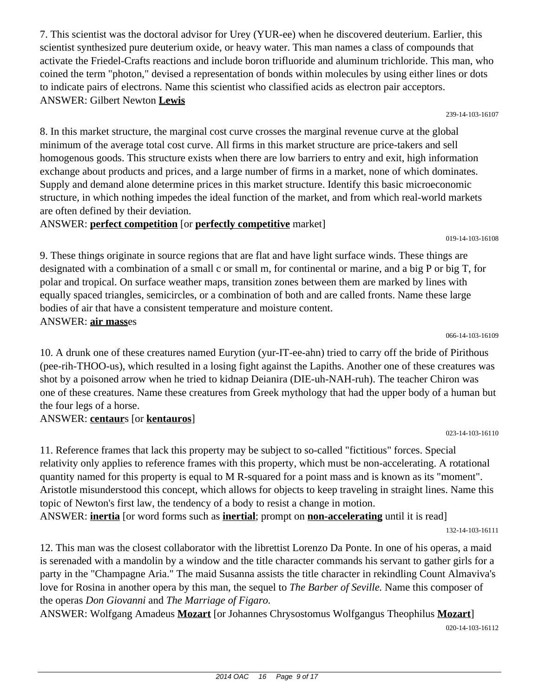7. This scientist was the doctoral advisor for Urey (YUR-ee) when he discovered deuterium. Earlier, this scientist synthesized pure deuterium oxide, or heavy water. This man names a class of compounds that activate the Friedel-Crafts reactions and include boron trifluoride and aluminum trichloride. This man, who coined the term "photon," devised a representation of bonds within molecules by using either lines or dots to indicate pairs of electrons. Name this scientist who classified acids as electron pair acceptors. ANSWER: Gilbert Newton **Lewis**

239-14-103-16107

8. In this market structure, the marginal cost curve crosses the marginal revenue curve at the global minimum of the average total cost curve. All firms in this market structure are price-takers and sell homogenous goods. This structure exists when there are low barriers to entry and exit, high information exchange about products and prices, and a large number of firms in a market, none of which dominates. Supply and demand alone determine prices in this market structure. Identify this basic microeconomic structure, in which nothing impedes the ideal function of the market, and from which real-world markets are often defined by their deviation.

## ANSWER: **perfect competition** [or **perfectly competitive** market]

9. These things originate in source regions that are flat and have light surface winds. These things are designated with a combination of a small c or small m, for continental or marine, and a big P or big T, for polar and tropical. On surface weather maps, transition zones between them are marked by lines with equally spaced triangles, semicircles, or a combination of both and are called fronts. Name these large bodies of air that have a consistent temperature and moisture content. ANSWER: **air mass**es

10. A drunk one of these creatures named Eurytion (yur-IT-ee-ahn) tried to carry off the bride of Pirithous (pee-rih-THOO-us), which resulted in a losing fight against the Lapiths. Another one of these creatures was shot by a poisoned arrow when he tried to kidnap Deianira (DIE-uh-NAH-ruh). The teacher Chiron was one of these creatures. Name these creatures from Greek mythology that had the upper body of a human but the four legs of a horse.

#### ANSWER: **centaur**s [or **kentauros**]

11. Reference frames that lack this property may be subject to so-called "fictitious" forces. Special relativity only applies to reference frames with this property, which must be non-accelerating. A rotational quantity named for this property is equal to M R-squared for a point mass and is known as its "moment". Aristotle misunderstood this concept, which allows for objects to keep traveling in straight lines. Name this topic of Newton's first law, the tendency of a body to resist a change in motion. ANSWER: **inertia** [or word forms such as **inertial**; prompt on **non-accelerating** until it is read]

12. This man was the closest collaborator with the librettist Lorenzo Da Ponte. In one of his operas, a maid is serenaded with a mandolin by a window and the title character commands his servant to gather girls for a party in the "Champagne Aria." The maid Susanna assists the title character in rekindling Count Almaviva's love for Rosina in another opera by this man, the sequel to *The Barber of Seville.* Name this composer of the operas *Don Giovanni* and *The Marriage of Figaro.*

ANSWER: Wolfgang Amadeus **Mozart** [or Johannes Chrysostomus Wolfgangus Theophilus **Mozart**] 020-14-103-16112

066-14-103-16109

019-14-103-16108

132-14-103-16111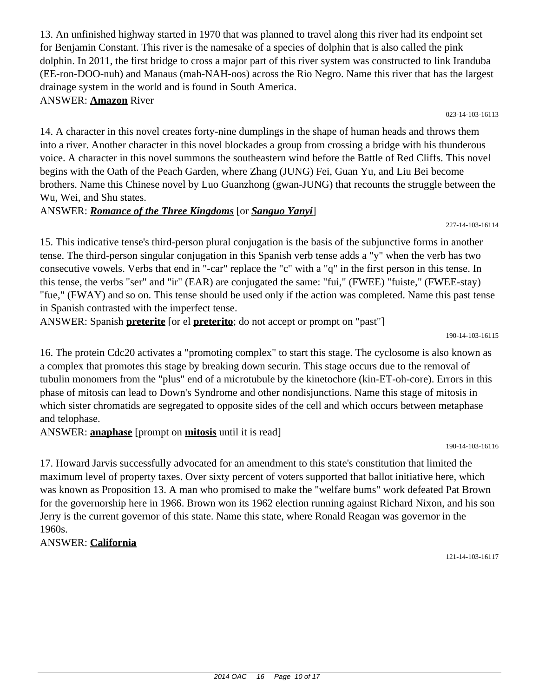13. An unfinished highway started in 1970 that was planned to travel along this river had its endpoint set for Benjamin Constant. This river is the namesake of a species of dolphin that is also called the pink dolphin. In 2011, the first bridge to cross a major part of this river system was constructed to link Iranduba (EE-ron-DOO-nuh) and Manaus (mah-NAH-oos) across the Rio Negro. Name this river that has the largest drainage system in the world and is found in South America. ANSWER: **Amazon** River

14. A character in this novel creates forty-nine dumplings in the shape of human heads and throws them

into a river. Another character in this novel blockades a group from crossing a bridge with his thunderous voice. A character in this novel summons the southeastern wind before the Battle of Red Cliffs. This novel begins with the Oath of the Peach Garden, where Zhang (JUNG) Fei, Guan Yu, and Liu Bei become brothers. Name this Chinese novel by Luo Guanzhong (gwan-JUNG) that recounts the struggle between the Wu, Wei, and Shu states.

# ANSWER: *Romance of the Three Kingdoms* [or *Sanguo Yanyi*]

15. This indicative tense's third-person plural conjugation is the basis of the subjunctive forms in another tense. The third-person singular conjugation in this Spanish verb tense adds a "y" when the verb has two consecutive vowels. Verbs that end in "-car" replace the "c" with a "q" in the first person in this tense. In this tense, the verbs "ser" and "ir" (EAR) are conjugated the same: "fui," (FWEE) "fuiste," (FWEE-stay) "fue," (FWAY) and so on. This tense should be used only if the action was completed. Name this past tense in Spanish contrasted with the imperfect tense.

ANSWER: Spanish **preterite** [or el **preterito**; do not accept or prompt on "past"]

190-14-103-16115

16. The protein Cdc20 activates a "promoting complex" to start this stage. The cyclosome is also known as a complex that promotes this stage by breaking down securin. This stage occurs due to the removal of tubulin monomers from the "plus" end of a microtubule by the kinetochore (kin-ET-oh-core). Errors in this phase of mitosis can lead to Down's Syndrome and other nondisjunctions. Name this stage of mitosis in which sister chromatids are segregated to opposite sides of the cell and which occurs between metaphase and telophase.

ANSWER: **anaphase** [prompt on **mitosis** until it is read]

190-14-103-16116

17. Howard Jarvis successfully advocated for an amendment to this state's constitution that limited the maximum level of property taxes. Over sixty percent of voters supported that ballot initiative here, which was known as Proposition 13. A man who promised to make the "welfare bums" work defeated Pat Brown for the governorship here in 1966. Brown won its 1962 election running against Richard Nixon, and his son Jerry is the current governor of this state. Name this state, where Ronald Reagan was governor in the 1960s.

ANSWER: **California**

121-14-103-16117

227-14-103-16114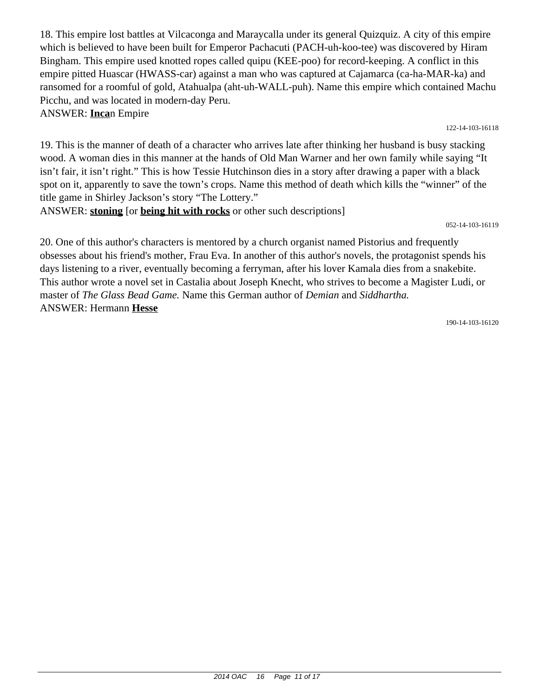18. This empire lost battles at Vilcaconga and Maraycalla under its general Quizquiz. A city of this empire which is believed to have been built for Emperor Pachacuti (PACH-uh-koo-tee) was discovered by Hiram Bingham. This empire used knotted ropes called quipu (KEE-poo) for record-keeping. A conflict in this empire pitted Huascar (HWASS-car) against a man who was captured at Cajamarca (ca-ha-MAR-ka) and ransomed for a roomful of gold, Atahualpa (aht-uh-WALL-puh). Name this empire which contained Machu Picchu, and was located in modern-day Peru.

122-14-103-16118

ANSWER: **Inca**n Empire

19. This is the manner of death of a character who arrives late after thinking her husband is busy stacking wood. A woman dies in this manner at the hands of Old Man Warner and her own family while saying "It isn't fair, it isn't right." This is how Tessie Hutchinson dies in a story after drawing a paper with a black spot on it, apparently to save the town's crops. Name this method of death which kills the "winner" of the title game in Shirley Jackson's story "The Lottery."

ANSWER: **stoning** [or **being hit with rocks** or other such descriptions]

052-14-103-16119

20. One of this author's characters is mentored by a church organist named Pistorius and frequently obsesses about his friend's mother, Frau Eva. In another of this author's novels, the protagonist spends his days listening to a river, eventually becoming a ferryman, after his lover Kamala dies from a snakebite. This author wrote a novel set in Castalia about Joseph Knecht, who strives to become a Magister Ludi, or master of *The Glass Bead Game.* Name this German author of *Demian* and *Siddhartha.* ANSWER: Hermann **Hesse**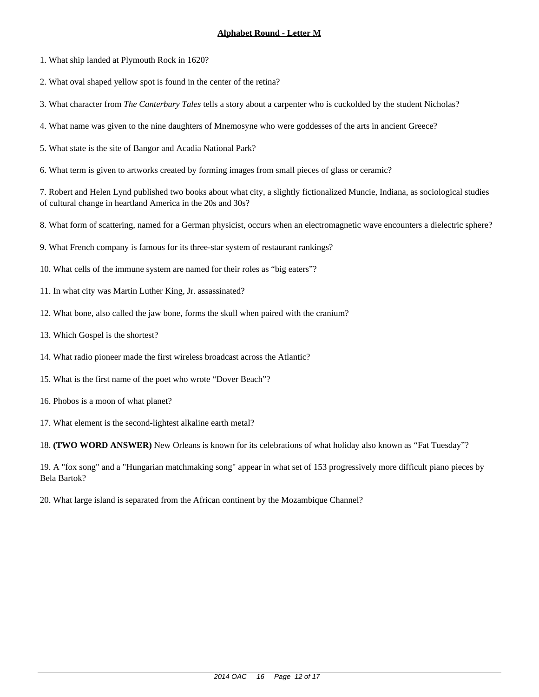- 1. What ship landed at Plymouth Rock in 1620?
- 2. What oval shaped yellow spot is found in the center of the retina?
- 3. What character from *The Canterbury Tales* tells a story about a carpenter who is cuckolded by the student Nicholas?
- 4. What name was given to the nine daughters of Mnemosyne who were goddesses of the arts in ancient Greece?
- 5. What state is the site of Bangor and Acadia National Park?
- 6. What term is given to artworks created by forming images from small pieces of glass or ceramic?

- 8. What form of scattering, named for a German physicist, occurs when an electromagnetic wave encounters a dielectric sphere?
- 9. What French company is famous for its three-star system of restaurant rankings?
- 10. What cells of the immune system are named for their roles as "big eaters"?
- 11. In what city was Martin Luther King, Jr. assassinated?
- 12. What bone, also called the jaw bone, forms the skull when paired with the cranium?
- 13. Which Gospel is the shortest?
- 14. What radio pioneer made the first wireless broadcast across the Atlantic?
- 15. What is the first name of the poet who wrote "Dover Beach"?
- 16. Phobos is a moon of what planet?
- 17. What element is the second-lightest alkaline earth metal?

18. **(TWO WORD ANSWER)** New Orleans is known for its celebrations of what holiday also known as "Fat Tuesday"?

19. A "fox song" and a "Hungarian matchmaking song" appear in what set of 153 progressively more difficult piano pieces by Bela Bartok?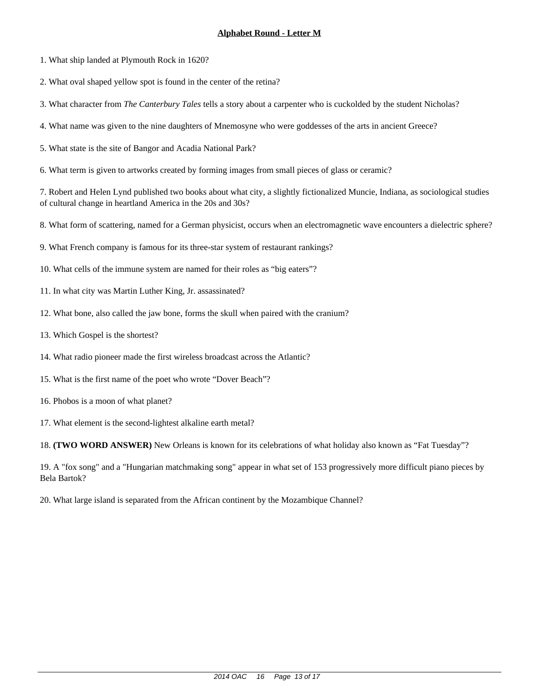- 1. What ship landed at Plymouth Rock in 1620?
- 2. What oval shaped yellow spot is found in the center of the retina?
- 3. What character from *The Canterbury Tales* tells a story about a carpenter who is cuckolded by the student Nicholas?
- 4. What name was given to the nine daughters of Mnemosyne who were goddesses of the arts in ancient Greece?
- 5. What state is the site of Bangor and Acadia National Park?
- 6. What term is given to artworks created by forming images from small pieces of glass or ceramic?

- 8. What form of scattering, named for a German physicist, occurs when an electromagnetic wave encounters a dielectric sphere?
- 9. What French company is famous for its three-star system of restaurant rankings?
- 10. What cells of the immune system are named for their roles as "big eaters"?
- 11. In what city was Martin Luther King, Jr. assassinated?
- 12. What bone, also called the jaw bone, forms the skull when paired with the cranium?
- 13. Which Gospel is the shortest?
- 14. What radio pioneer made the first wireless broadcast across the Atlantic?
- 15. What is the first name of the poet who wrote "Dover Beach"?
- 16. Phobos is a moon of what planet?
- 17. What element is the second-lightest alkaline earth metal?

18. **(TWO WORD ANSWER)** New Orleans is known for its celebrations of what holiday also known as "Fat Tuesday"?

19. A "fox song" and a "Hungarian matchmaking song" appear in what set of 153 progressively more difficult piano pieces by Bela Bartok?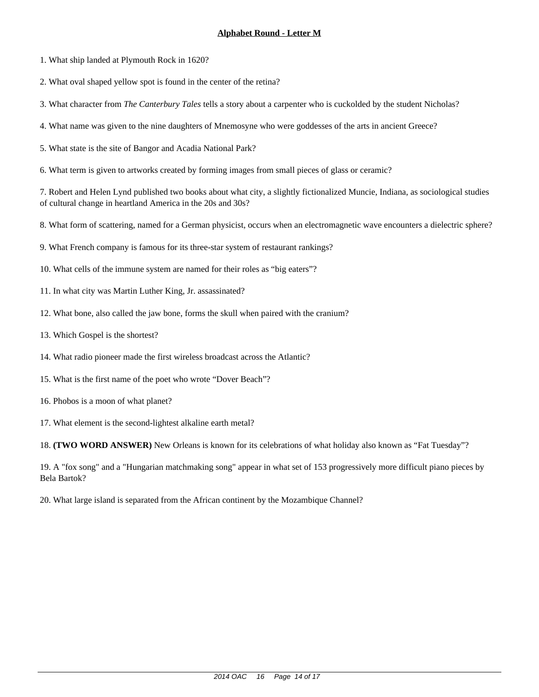- 1. What ship landed at Plymouth Rock in 1620?
- 2. What oval shaped yellow spot is found in the center of the retina?
- 3. What character from *The Canterbury Tales* tells a story about a carpenter who is cuckolded by the student Nicholas?
- 4. What name was given to the nine daughters of Mnemosyne who were goddesses of the arts in ancient Greece?
- 5. What state is the site of Bangor and Acadia National Park?
- 6. What term is given to artworks created by forming images from small pieces of glass or ceramic?

- 8. What form of scattering, named for a German physicist, occurs when an electromagnetic wave encounters a dielectric sphere?
- 9. What French company is famous for its three-star system of restaurant rankings?
- 10. What cells of the immune system are named for their roles as "big eaters"?
- 11. In what city was Martin Luther King, Jr. assassinated?
- 12. What bone, also called the jaw bone, forms the skull when paired with the cranium?
- 13. Which Gospel is the shortest?
- 14. What radio pioneer made the first wireless broadcast across the Atlantic?
- 15. What is the first name of the poet who wrote "Dover Beach"?
- 16. Phobos is a moon of what planet?
- 17. What element is the second-lightest alkaline earth metal?

18. **(TWO WORD ANSWER)** New Orleans is known for its celebrations of what holiday also known as "Fat Tuesday"?

19. A "fox song" and a "Hungarian matchmaking song" appear in what set of 153 progressively more difficult piano pieces by Bela Bartok?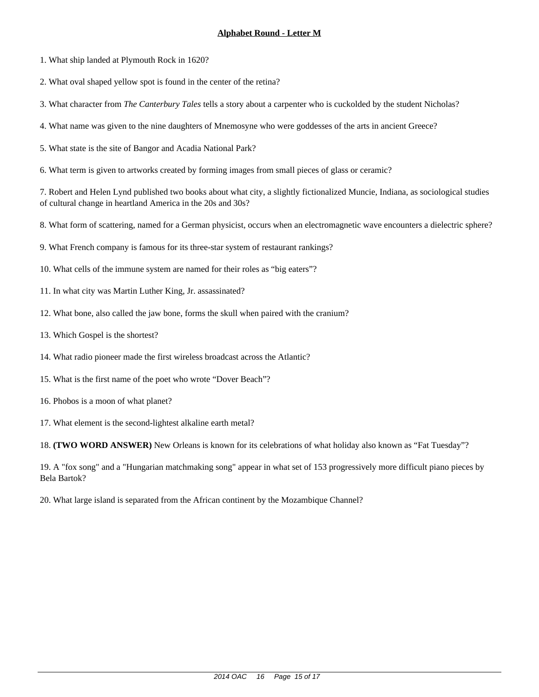- 1. What ship landed at Plymouth Rock in 1620?
- 2. What oval shaped yellow spot is found in the center of the retina?
- 3. What character from *The Canterbury Tales* tells a story about a carpenter who is cuckolded by the student Nicholas?
- 4. What name was given to the nine daughters of Mnemosyne who were goddesses of the arts in ancient Greece?
- 5. What state is the site of Bangor and Acadia National Park?
- 6. What term is given to artworks created by forming images from small pieces of glass or ceramic?

- 8. What form of scattering, named for a German physicist, occurs when an electromagnetic wave encounters a dielectric sphere?
- 9. What French company is famous for its three-star system of restaurant rankings?
- 10. What cells of the immune system are named for their roles as "big eaters"?
- 11. In what city was Martin Luther King, Jr. assassinated?
- 12. What bone, also called the jaw bone, forms the skull when paired with the cranium?
- 13. Which Gospel is the shortest?
- 14. What radio pioneer made the first wireless broadcast across the Atlantic?
- 15. What is the first name of the poet who wrote "Dover Beach"?
- 16. Phobos is a moon of what planet?
- 17. What element is the second-lightest alkaline earth metal?

18. **(TWO WORD ANSWER)** New Orleans is known for its celebrations of what holiday also known as "Fat Tuesday"?

19. A "fox song" and a "Hungarian matchmaking song" appear in what set of 153 progressively more difficult piano pieces by Bela Bartok?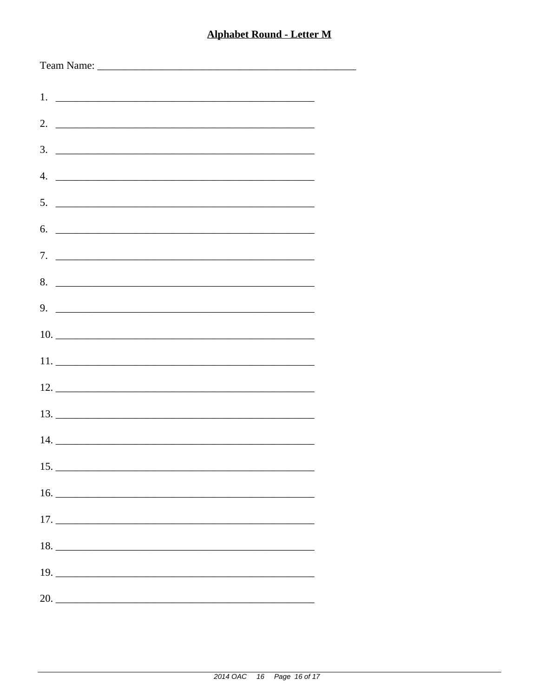# **Alphabet Round - Letter M**

-

| $5.$ $\overline{\phantom{a}}$ |
|-------------------------------|
| $6.$ $\overline{\phantom{a}}$ |
|                               |
| 8.                            |
|                               |
|                               |
|                               |
|                               |
|                               |
|                               |
|                               |
|                               |
|                               |
|                               |
| $19. \_$                      |
| 20.                           |